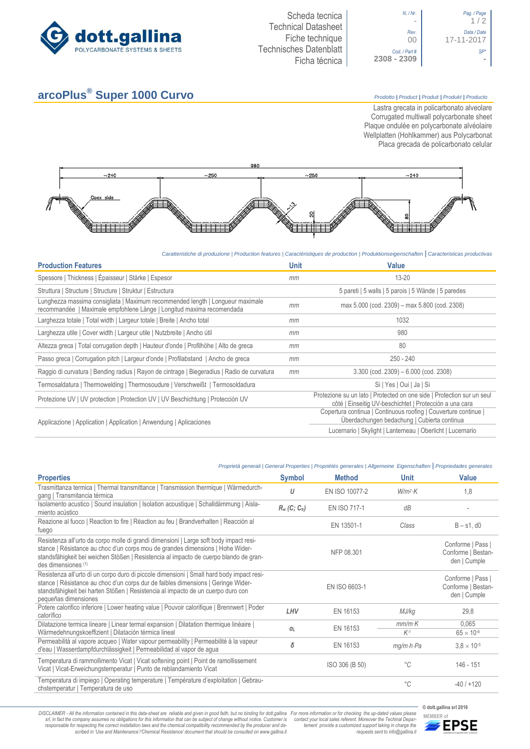



## **arcoPlus® Super 1000 Curvo** *Prodotto <sup>|</sup> Product <sup>|</sup> Produit <sup>|</sup> Produkt <sup>|</sup> Producto*

Lastra grecata in policarbonato alveolare Corrugated multiwall polycarbonate sheet Plaque ondulée en polycarbonate alvéolaire Wellplatten (Hohlkammer) aus Polycarbonat Placa grecada de policarbonato celular



*Caratteristiche di produzione | Production features | Caractéristiques de production | Produktionseigenschaften* **|** *Caracteristicas productivas*

| <b>Production Features</b>                                                                                                                              | <b>Unit</b> | Value                                                                                                                             |
|---------------------------------------------------------------------------------------------------------------------------------------------------------|-------------|-----------------------------------------------------------------------------------------------------------------------------------|
| Spessore   Thickness   Épaisseur   Stärke   Espesor                                                                                                     | mm          | $13 - 20$                                                                                                                         |
| Struttura   Structure   Structure   Struktur   Estructura                                                                                               |             | 5 pareti   5 walls   5 parois   5 Wände   5 paredes                                                                               |
| Lunghezza massima consigliata   Maximum recommended length   Longueur maximale<br>recommandée   Maximale empfohlene Länge   Longitud maxima recomendada | mm          | max 5.000 (cod. 2309) – max 5.800 (cod. 2308)                                                                                     |
| Larghezza totale   Total width   Largeur totale   Breite   Ancho total                                                                                  | mm          | 1032                                                                                                                              |
| Larghezza utile   Cover width   Largeur utile   Nutzbreite   Ancho útil                                                                                 | mm          | 980                                                                                                                               |
| Altezza greca   Total corrugation depth   Hauteur d'onde   Profilhöhe   Alto de greca                                                                   | mm          | 80                                                                                                                                |
| Passo greca   Corrugation pitch   Largeur d'onde   Profilabstand   Ancho de greca                                                                       | mm          | $250 - 240$                                                                                                                       |
| Raggio di curvatura   Bending radius   Rayon de cintrage   Biegeradius   Radio de curvatura                                                             | mm          | $3.300$ (cod. $2309$ ) – $6.000$ (cod. $2308$ )                                                                                   |
| Termosaldatura   Thermowelding   Thermosoudure   Verschweißt   Termosoldadura                                                                           |             | Si   Yes   Oui   Ja   Si                                                                                                          |
| Protezione UV   UV protection   Protection UV   UV Beschichtung   Protección UV                                                                         |             | Protezione su un lato   Protected on one side   Protection sur un seul<br>côté   Einseitig UV-beschichtet   Protección a una cara |
| Applicazione   Application   Application   Anwendung   Aplicaciones                                                                                     |             | Copertura continua   Continuous roofing   Couverture continue  <br>Überdachungen bedachung   Cubierta continua                    |
|                                                                                                                                                         |             | Lucernario   Skylight   Lanterneau   Oberlicht   Lucernario                                                                       |

| Proprietà generali   General Properties   Propriétés generales   Allgemeine Eigenschaften   Propriedades generales |  |  |  |
|--------------------------------------------------------------------------------------------------------------------|--|--|--|
|                                                                                                                    |  |  |  |

| <b>Properties</b>                                                                                                                                                                                                                                                                          | <b>Symbol</b>               | <b>Method</b>       | Unit                    | <b>Value</b>                                            |  |
|--------------------------------------------------------------------------------------------------------------------------------------------------------------------------------------------------------------------------------------------------------------------------------------------|-----------------------------|---------------------|-------------------------|---------------------------------------------------------|--|
| Trasmittanza termica   Thermal transmittance   Transmission thermique   Wärmedurch-<br>gang   Transmitancia térmica                                                                                                                                                                        | U                           | EN ISO 10077-2      | $W/m^2$ K               | 1,8                                                     |  |
| Isolamento acustico   Sound insulation   Isolation acoustique   Schalldämmung   Aisla-<br>miento acústico                                                                                                                                                                                  | $R_w$ (C; C <sub>tr</sub> ) | <b>EN ISO 717-1</b> | dB                      |                                                         |  |
| Reazione al fuoco   Reaction to fire   Réaction au feu   Brandverhalten   Reacción al<br>fuego                                                                                                                                                                                             |                             | EN 13501-1          | Class                   | $B - s1$ , d $0$                                        |  |
| Resistenza all'urto da corpo molle di grandi dimensioni   Large soft body impact resi-<br>stance   Résistance au choc d'un corps mou de grandes dimensions   Hohe Wider-<br>standsfähigkeit bei weichen Stößen   Resistencia al impacto de cuerpo blando de gran-<br>des dimensiones (1)   |                             | NFP 08.301          |                         | Conforme   Pass  <br>Conforme   Bestan-<br>den   Cumple |  |
| Resistenza all'urto di un corpo duro di piccole dimensioni   Small hard body impact resi-<br>stance   Résistance au choc d'un corps dur de faibles dimensions   Geringe Wider-<br>standsfähigkeit bei harten Stößen   Resistencia al impacto de un cuerpo duro con<br>pequeñas dimensiones |                             | EN ISO 6603-1       |                         | Conforme   Pass  <br>Conforme   Bestan-<br>den   Cumple |  |
| Potere calorifico inferiore   Lower heating value   Pouvoir calorifique   Brennwert   Poder<br>calorífico                                                                                                                                                                                  | LHV                         | EN 16153            | MJ/kg                   | 29,8                                                    |  |
| Dilatazione termica lineare   Linear termal expansion   Dilatation thermique linéaire  <br>Wärmedehnungskoeffizient   Dilatación térmica lineal                                                                                                                                            | $\alpha_L$                  | EN 16153            | $mm/m$ K<br>$K-1$       | 0.065<br>$65 \times 10^{-6}$                            |  |
| Permeabilità al vapore acqueo   Water vapour permeability   Permeabilité à la vapeur<br>d'eau   Wasserdampfdurchlässigkeit   Permeabilidad al vapor de agua                                                                                                                                | δ                           | EN 16153            | $mq/m \cdot h \cdot Pa$ | $3.8 \times 10^{-5}$                                    |  |
| Temperatura di rammollimento Vicat   Vicat softening point   Point de ramollissement<br>Vicat   Vicat-Erweichungstemperatur   Punto de reblandamiento Vicat                                                                                                                                |                             | ISO 306 (B 50)      | $^{\circ}C$             | 146 - 151                                               |  |
| Temperatura di impiego   Operating temperature   Température d'exploitation   Gebrau-<br>chstemperatur   Temperatura de uso                                                                                                                                                                |                             |                     | $^{\circ}C$             | $-40/+120$                                              |  |

DISCLAIMER - All the information contained in this data-sheet are reliable and given in good faith, but no binding for dott.gallina For more information or for checking the up-dated values please<br>-srl, in fact the company -responsable for respecting the correct installation laws and the chemical compatibility recommended by the producer and de-<br>scribed in 'Use and Maintenance'/'Chemical Resistence' document that should be consulted on www.g *tement provide a customized support taking in charge the requests sent to info@gallina.it*

**© dott.gallina srl 2016**